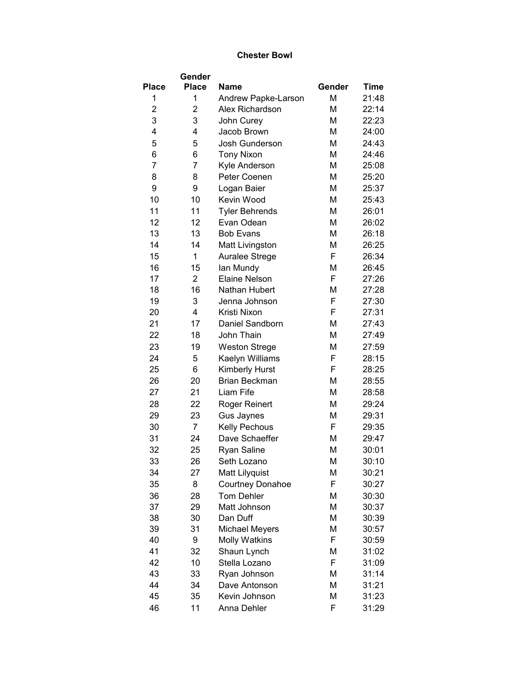## **Chester Bowl**

|                | Gender         |                        |        |             |
|----------------|----------------|------------------------|--------|-------------|
| <b>Place</b>   | <b>Place</b>   | <b>Name</b>            | Gender | <b>Time</b> |
| 1              | 1              | Andrew Papke-Larson    | M      | 21:48       |
| $\overline{2}$ | $\overline{2}$ | Alex Richardson        | М      | 22:14       |
| 3              | 3              | John Curey             | М      | 22:23       |
| 4              | 4              | Jacob Brown            | М      | 24:00       |
| 5              | 5              | <b>Josh Gunderson</b>  | M      | 24:43       |
| 6              | 6              | <b>Tony Nixon</b>      | M      | 24:46       |
| $\overline{7}$ | $\overline{7}$ | Kyle Anderson          | М      | 25:08       |
| 8              | 8              | Peter Coenen           | М      | 25:20       |
| 9              | 9              | Logan Baier            | М      | 25:37       |
| 10             | 10             | Kevin Wood             | M      | 25:43       |
| 11             | 11             | <b>Tyler Behrends</b>  | M      | 26:01       |
| 12             | 12             | Evan Odean             | M      | 26:02       |
| 13             | 13             | <b>Bob Evans</b>       | М      | 26:18       |
| 14             | 14             | <b>Matt Livingston</b> | М      | 26:25       |
| 15             | 1              | Auralee Strege         | F      | 26:34       |
| 16             | 15             | lan Mundy              | M      | 26:45       |
| 17             | $\overline{2}$ | <b>Elaine Nelson</b>   | F      | 27:26       |
| 18             | 16             | Nathan Hubert          | М      | 27:28       |
| 19             | 3              | Jenna Johnson          | F      | 27:30       |
| 20             | 4              | Kristi Nixon           | F      | 27:31       |
| 21             | 17             | Daniel Sandborn        | М      | 27:43       |
| 22             | 18             | John Thain             | M      | 27:49       |
| 23             | 19             | <b>Weston Strege</b>   | М      | 27:59       |
| 24             | 5              | Kaelyn Williams        | F      | 28:15       |
| 25             | 6              | Kimberly Hurst         | F      | 28:25       |
| 26             | 20             | <b>Brian Beckman</b>   | М      | 28:55       |
| 27             | 21             | Liam Fife              | M      | 28:58       |
| 28             | 22             | Roger Reinert          | М      | 29:24       |
| 29             | 23             | Gus Jaynes             | М      | 29:31       |
| 30             | $\overline{7}$ | <b>Kelly Pechous</b>   | F      | 29:35       |
| 31             | 24             | Dave Schaeffer         | М      | 29:47       |
| 32             | 25             | <b>Ryan Saline</b>     | М      | 30:01       |
| 33             | 26             | Seth Lozano            | Μ      | 30:10       |
| 34             | 27             | Matt Lilyquist         | М      | 30:21       |
| 35             | 8              | Courtney Donahoe       | F      | 30:27       |
| 36             | 28             | <b>Tom Dehler</b>      | M      | 30:30       |
| 37             | 29             | Matt Johnson           | М      | 30:37       |
| 38             | 30             | Dan Duff               | М      | 30:39       |
| 39             | 31             | <b>Michael Meyers</b>  | М      | 30:57       |
| 40             | 9              | <b>Molly Watkins</b>   | F      | 30:59       |
| 41             | 32             | Shaun Lynch            | М      | 31:02       |
| 42             | 10             | Stella Lozano          | F      | 31:09       |
| 43             | 33             | Ryan Johnson           | М      | 31:14       |
| 44             | 34             | Dave Antonson          | M      | 31:21       |
| 45             | 35             | Kevin Johnson          | M      | 31:23       |
| 46             | 11             | Anna Dehler            | F      | 31:29       |
|                |                |                        |        |             |